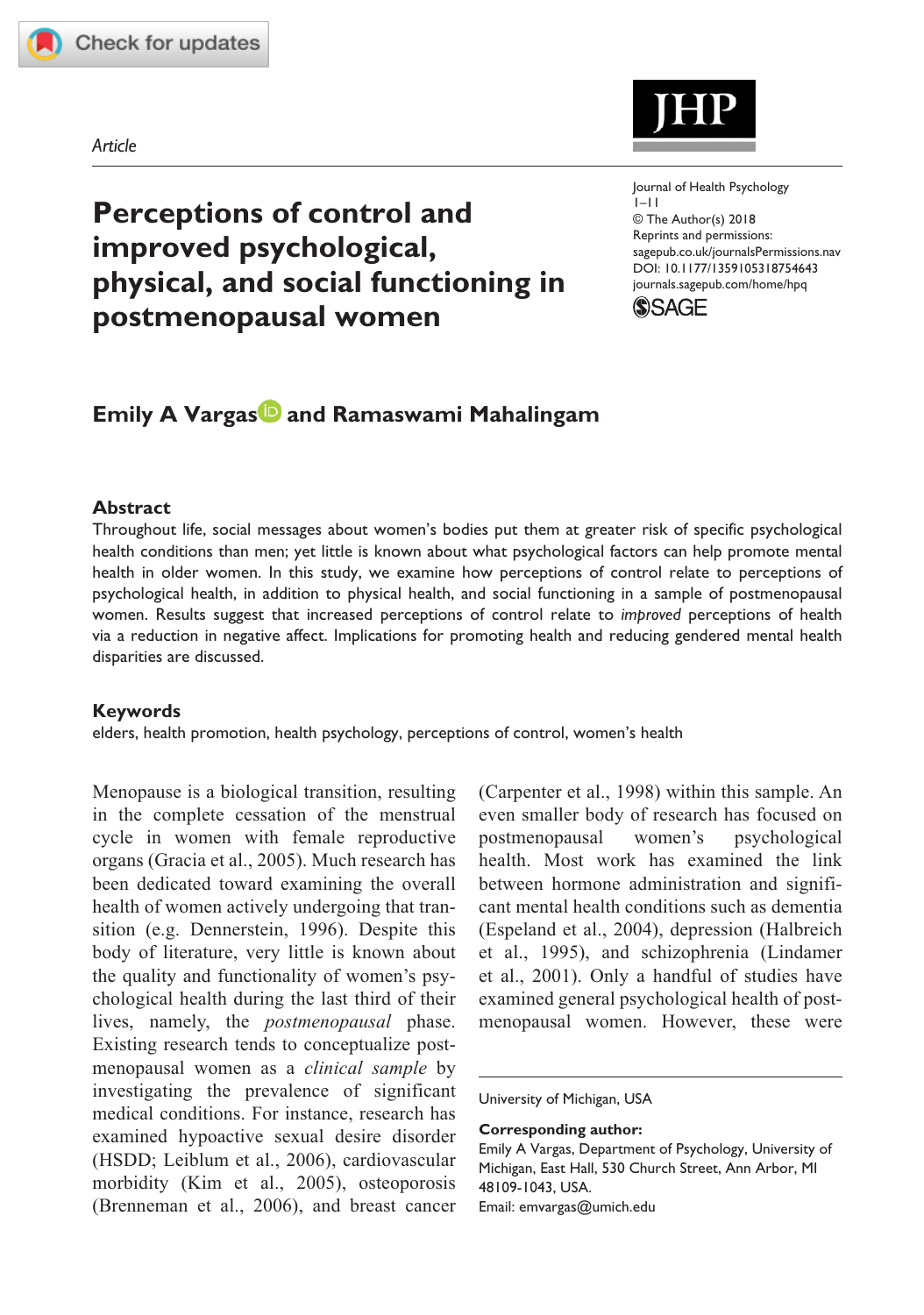

*Article*



https://doi.org/10.1177/1359105318754643 DOI: 10.1177/1359105318754643 Journal of Health Psychology  $1 - 11$ © The Author(s) 2018 Reprints and permissions: [sagepub.co.uk/journalsPermissions.nav](https://uk.sagepub.com/en-gb/journals-permissions) [journals.sagepub.com/home/hpq](https://journals.sagepub.com/home/hpq)



# **Emily A Vargas<sup>1</sup> and Ramaswami Mahalingam**

**physical, and social functioning in** 

**Perceptions of control and** 

**improved psychological,** 

**postmenopausal women**

#### **Abstract**

Throughout life, social messages about women's bodies put them at greater risk of specific psychological health conditions than men; yet little is known about what psychological factors can help promote mental health in older women. In this study, we examine how perceptions of control relate to perceptions of psychological health, in addition to physical health, and social functioning in a sample of postmenopausal women. Results suggest that increased perceptions of control relate to *improved* perceptions of health via a reduction in negative affect. Implications for promoting health and reducing gendered mental health disparities are discussed.

#### **Keywords**

elders, health promotion, health psychology, perceptions of control, women's health

Menopause is a biological transition, resulting in the complete cessation of the menstrual cycle in women with female reproductive organs (Gracia et al., 2005). Much research has been dedicated toward examining the overall health of women actively undergoing that transition (e.g. Dennerstein, 1996). Despite this body of literature, very little is known about the quality and functionality of women's psychological health during the last third of their lives, namely, the *postmenopausal* phase. Existing research tends to conceptualize postmenopausal women as a *clinical sample* by investigating the prevalence of significant medical conditions. For instance, research has examined hypoactive sexual desire disorder (HSDD; Leiblum et al., 2006), cardiovascular morbidity (Kim et al., 2005), osteoporosis (Brenneman et al., 2006), and breast cancer (Carpenter et al., 1998) within this sample. An even smaller body of research has focused on postmenopausal women's psychological health. Most work has examined the link between hormone administration and significant mental health conditions such as dementia (Espeland et al., 2004), depression (Halbreich et al., 1995), and schizophrenia (Lindamer et al., 2001). Only a handful of studies have examined general psychological health of postmenopausal women. However, these were

University of Michigan, USA

**Corresponding author:**

Emily A Vargas, Department of Psychology, University of Michigan, East Hall, 530 Church Street, Ann Arbor, MI 48109-1043, USA. Email: [emvargas@umich.edu](mailto:emvargas@umich.edu)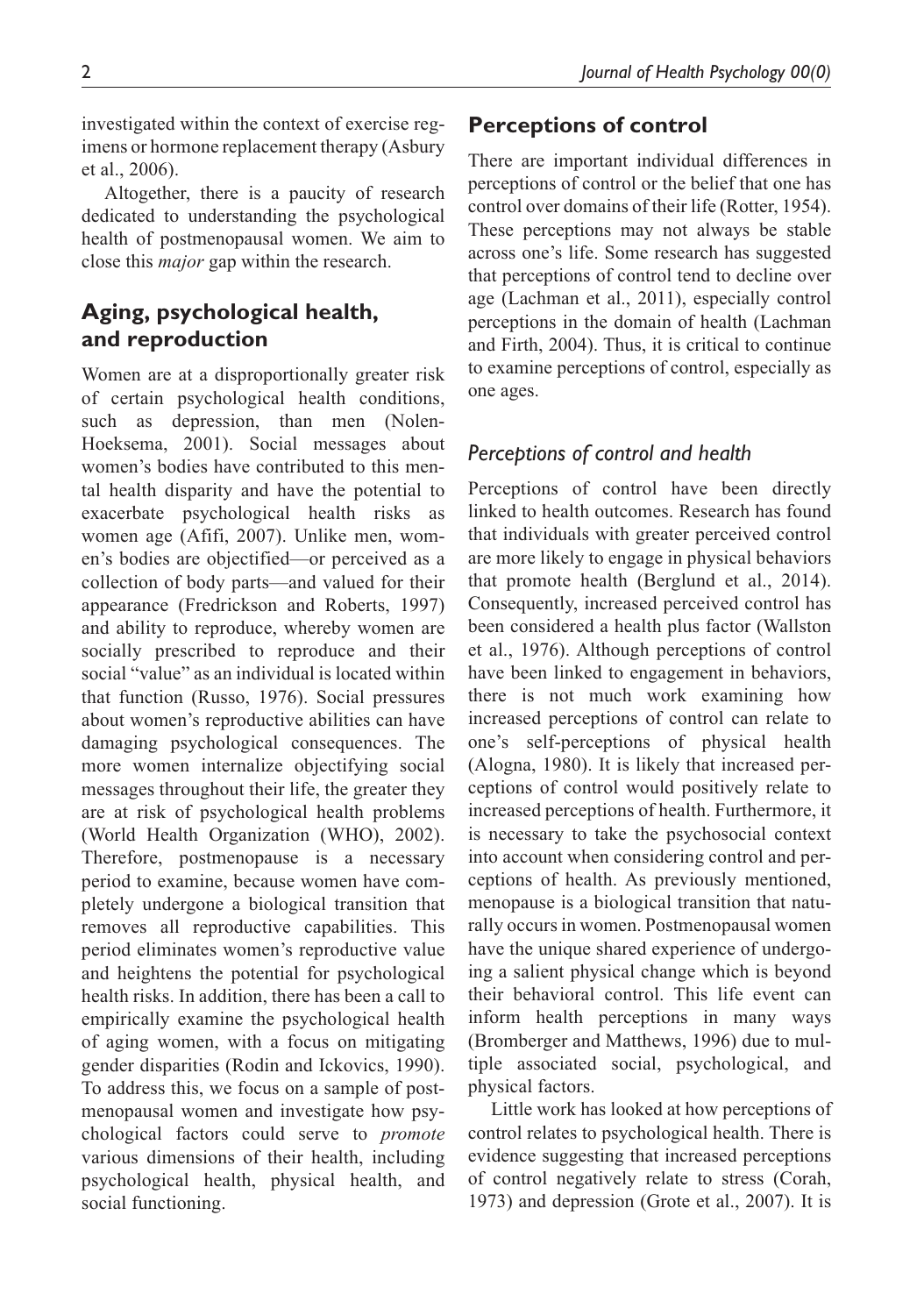investigated within the context of exercise regimens or hormone replacement therapy (Asbury et al., 2006).

Altogether, there is a paucity of research dedicated to understanding the psychological health of postmenopausal women. We aim to close this *major* gap within the research.

# **Aging, psychological health, and reproduction**

Women are at a disproportionally greater risk of certain psychological health conditions, such as depression, than men (Nolen-Hoeksema, 2001). Social messages about women's bodies have contributed to this mental health disparity and have the potential to exacerbate psychological health risks as women age (Afifi, 2007). Unlike men, women's bodies are objectified—or perceived as a collection of body parts—and valued for their appearance (Fredrickson and Roberts, 1997) and ability to reproduce, whereby women are socially prescribed to reproduce and their social "value" as an individual is located within that function (Russo, 1976). Social pressures about women's reproductive abilities can have damaging psychological consequences. The more women internalize objectifying social messages throughout their life, the greater they are at risk of psychological health problems (World Health Organization (WHO), 2002). Therefore, postmenopause is a necessary period to examine, because women have completely undergone a biological transition that removes all reproductive capabilities. This period eliminates women's reproductive value and heightens the potential for psychological health risks. In addition, there has been a call to empirically examine the psychological health of aging women, with a focus on mitigating gender disparities (Rodin and Ickovics, 1990). To address this, we focus on a sample of postmenopausal women and investigate how psychological factors could serve to *promote* various dimensions of their health, including psychological health, physical health, and social functioning.

# **Perceptions of control**

There are important individual differences in perceptions of control or the belief that one has control over domains of their life (Rotter, 1954). These perceptions may not always be stable across one's life. Some research has suggested that perceptions of control tend to decline over age (Lachman et al., 2011), especially control perceptions in the domain of health (Lachman and Firth, 2004). Thus, it is critical to continue to examine perceptions of control, especially as one ages.

# *Perceptions of control and health*

Perceptions of control have been directly linked to health outcomes. Research has found that individuals with greater perceived control are more likely to engage in physical behaviors that promote health (Berglund et al., 2014). Consequently, increased perceived control has been considered a health plus factor (Wallston et al., 1976). Although perceptions of control have been linked to engagement in behaviors, there is not much work examining how increased perceptions of control can relate to one's self-perceptions of physical health (Alogna, 1980). It is likely that increased perceptions of control would positively relate to increased perceptions of health. Furthermore, it is necessary to take the psychosocial context into account when considering control and perceptions of health. As previously mentioned, menopause is a biological transition that naturally occurs in women. Postmenopausal women have the unique shared experience of undergoing a salient physical change which is beyond their behavioral control. This life event can inform health perceptions in many ways (Bromberger and Matthews, 1996) due to multiple associated social, psychological, and physical factors.

Little work has looked at how perceptions of control relates to psychological health. There is evidence suggesting that increased perceptions of control negatively relate to stress (Corah, 1973) and depression (Grote et al., 2007). It is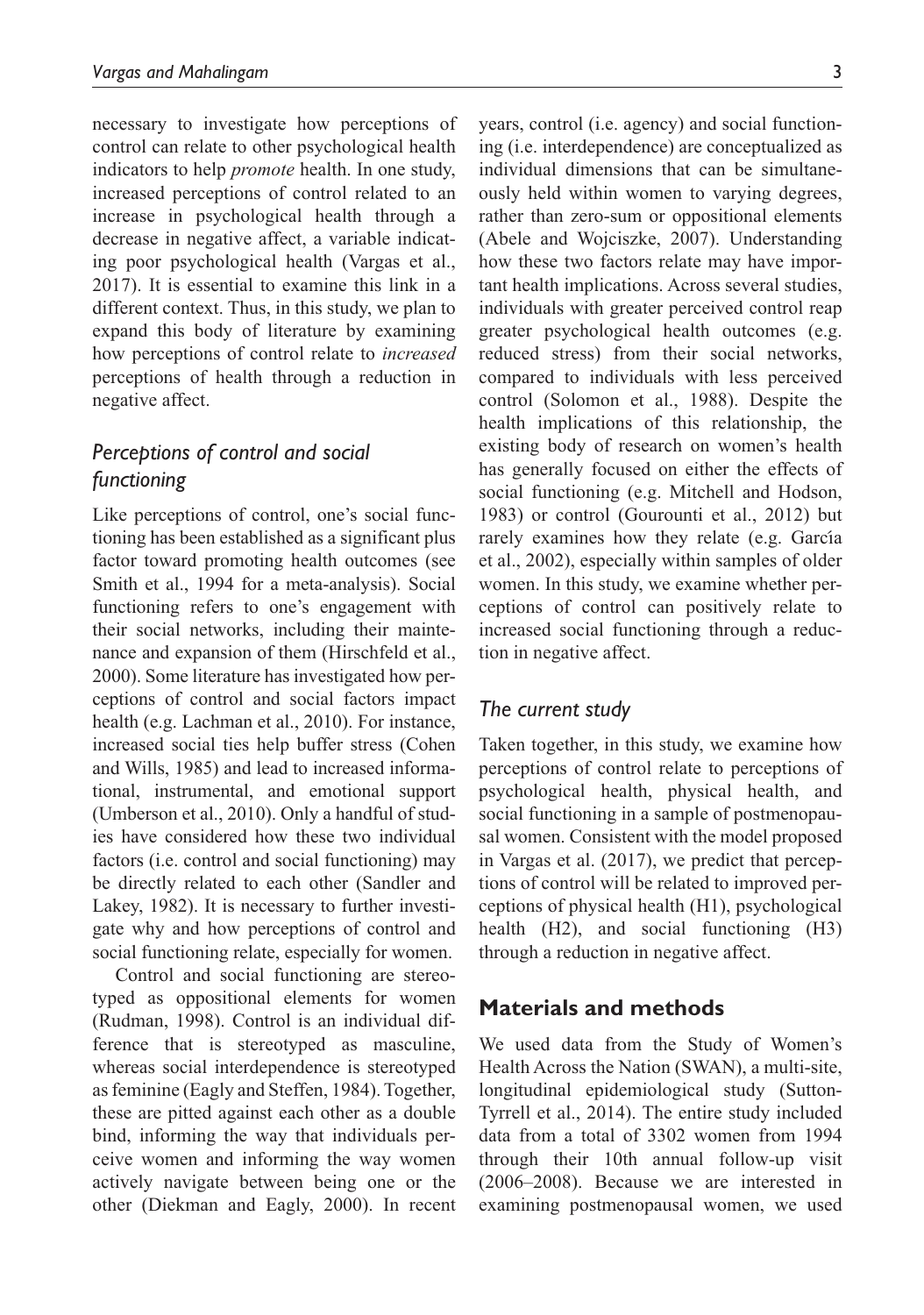necessary to investigate how perceptions of control can relate to other psychological health indicators to help *promote* health. In one study, increased perceptions of control related to an increase in psychological health through a decrease in negative affect, a variable indicating poor psychological health (Vargas et al., 2017). It is essential to examine this link in a different context. Thus, in this study, we plan to expand this body of literature by examining how perceptions of control relate to *increased* perceptions of health through a reduction in negative affect.

# *Perceptions of control and social functioning*

Like perceptions of control, one's social functioning has been established as a significant plus factor toward promoting health outcomes (see Smith et al., 1994 for a meta-analysis). Social functioning refers to one's engagement with their social networks, including their maintenance and expansion of them (Hirschfeld et al., 2000). Some literature has investigated how perceptions of control and social factors impact health (e.g. Lachman et al., 2010). For instance, increased social ties help buffer stress (Cohen and Wills, 1985) and lead to increased informational, instrumental, and emotional support (Umberson et al., 2010). Only a handful of studies have considered how these two individual factors (i.e. control and social functioning) may be directly related to each other (Sandler and Lakey, 1982). It is necessary to further investigate why and how perceptions of control and social functioning relate, especially for women.

Control and social functioning are stereotyped as oppositional elements for women (Rudman, 1998). Control is an individual difference that is stereotyped as masculine, whereas social interdependence is stereotyped as feminine (Eagly and Steffen, 1984). Together, these are pitted against each other as a double bind, informing the way that individuals perceive women and informing the way women actively navigate between being one or the other (Diekman and Eagly, 2000). In recent years, control (i.e. agency) and social functioning (i.e. interdependence) are conceptualized as individual dimensions that can be simultaneously held within women to varying degrees, rather than zero-sum or oppositional elements (Abele and Wojciszke, 2007). Understanding how these two factors relate may have important health implications. Across several studies, individuals with greater perceived control reap greater psychological health outcomes (e.g. reduced stress) from their social networks, compared to individuals with less perceived control (Solomon et al., 1988). Despite the health implications of this relationship, the existing body of research on women's health has generally focused on either the effects of social functioning (e.g. Mitchell and Hodson, 1983) or control (Gourounti et al., 2012) but rarely examines how they relate (e.g. García et al., 2002), especially within samples of older women. In this study, we examine whether perceptions of control can positively relate to increased social functioning through a reduction in negative affect.

## *The current study*

Taken together, in this study, we examine how perceptions of control relate to perceptions of psychological health, physical health, and social functioning in a sample of postmenopausal women. Consistent with the model proposed in Vargas et al. (2017), we predict that perceptions of control will be related to improved perceptions of physical health (H1), psychological health (H2), and social functioning (H3) through a reduction in negative affect.

## **Materials and methods**

We used data from the Study of Women's Health Across the Nation (SWAN), a multi-site, longitudinal epidemiological study (Sutton-Tyrrell et al., 2014). The entire study included data from a total of 3302 women from 1994 through their 10th annual follow-up visit (2006–2008). Because we are interested in examining postmenopausal women, we used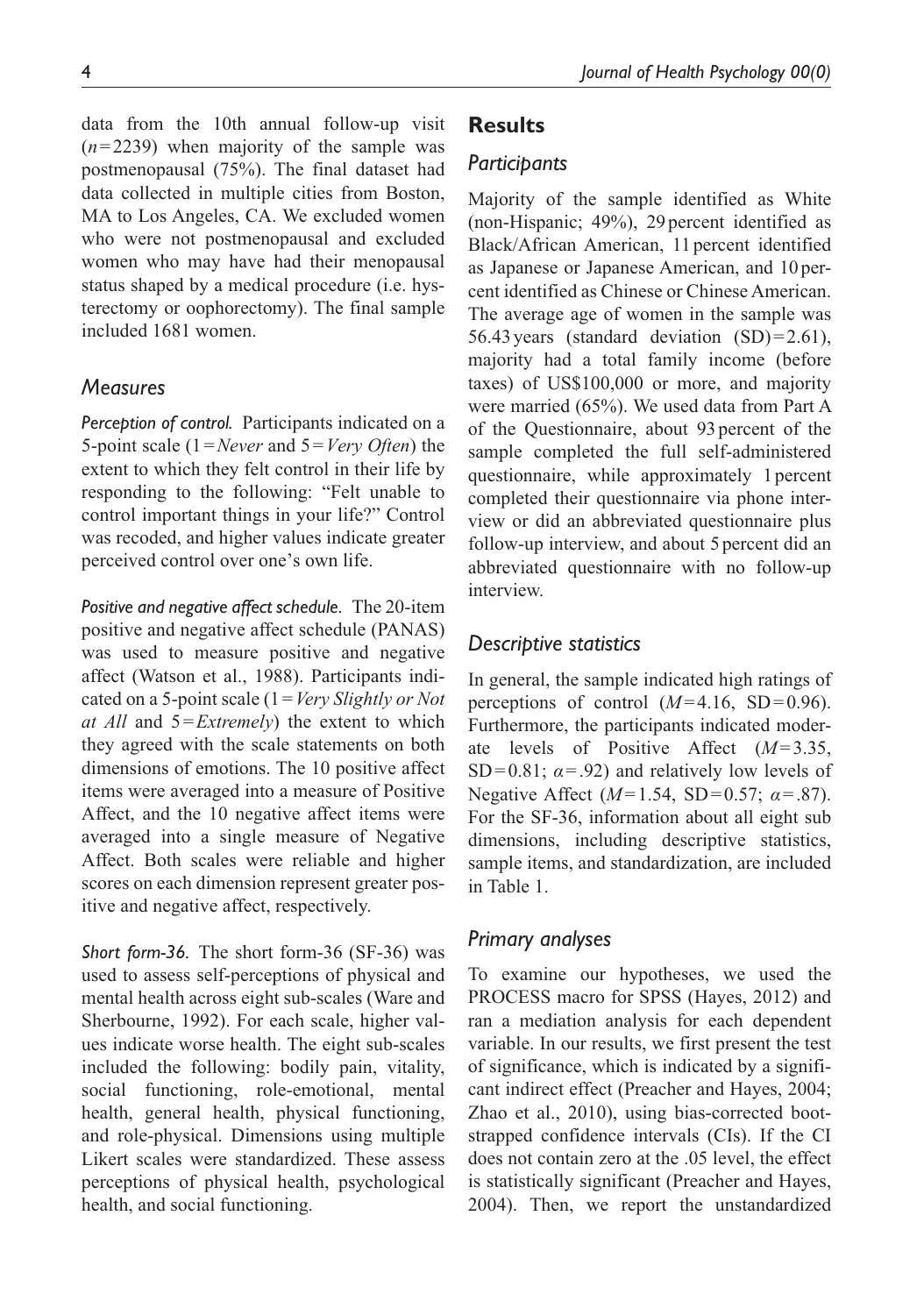data from the 10th annual follow-up visit (*n*=2239) when majority of the sample was postmenopausal (75%). The final dataset had data collected in multiple cities from Boston, MA to Los Angeles, CA. We excluded women who were not postmenopausal and excluded women who may have had their menopausal status shaped by a medical procedure (i.e. hysterectomy or oophorectomy). The final sample included 1681 women.

#### *Measures*

*Perception of control.* Participants indicated on a 5-point scale (1=*Never* and 5=*Very Often*) the extent to which they felt control in their life by responding to the following: "Felt unable to control important things in your life?" Control was recoded, and higher values indicate greater perceived control over one's own life.

*Positive and negative affect schedule.* The 20-item positive and negative affect schedule (PANAS) was used to measure positive and negative affect (Watson et al., 1988). Participants indicated on a 5-point scale (1=*Very Slightly or Not at All* and 5=*Extremely*) the extent to which they agreed with the scale statements on both dimensions of emotions. The 10 positive affect items were averaged into a measure of Positive Affect, and the 10 negative affect items were averaged into a single measure of Negative Affect. Both scales were reliable and higher scores on each dimension represent greater positive and negative affect, respectively.

*Short form-36.* The short form-36 (SF-36) was used to assess self-perceptions of physical and mental health across eight sub-scales (Ware and Sherbourne, 1992). For each scale, higher values indicate worse health. The eight sub-scales included the following: bodily pain, vitality, social functioning, role-emotional, mental health, general health, physical functioning, and role-physical. Dimensions using multiple Likert scales were standardized. These assess perceptions of physical health, psychological health, and social functioning.

## **Results**

#### *Participants*

Majority of the sample identified as White (non-Hispanic; 49%), 29 percent identified as Black/African American, 11percent identified as Japanese or Japanese American, and 10percent identified as Chinese or Chinese American. The average age of women in the sample was 56.43 years (standard deviation  $(SD)=2.61$ ), majority had a total family income (before taxes) of US\$100,000 or more, and majority were married (65%). We used data from Part A of the Questionnaire, about 93 percent of the sample completed the full self-administered questionnaire, while approximately 1percent completed their questionnaire via phone interview or did an abbreviated questionnaire plus follow-up interview, and about 5 percent did an abbreviated questionnaire with no follow-up interview.

#### *Descriptive statistics*

In general, the sample indicated high ratings of perceptions of control  $(M=4.16, SD=0.96)$ . Furthermore, the participants indicated moderate levels of Positive Affect (*M*=3.35, SD=0.81;  $\alpha$ =.92) and relatively low levels of Negative Affect (*M*=1.54, SD=0.57; *α*=.87). For the SF-36, information about all eight sub dimensions, including descriptive statistics, sample items, and standardization, are included in Table 1.

#### *Primary analyses*

To examine our hypotheses, we used the PROCESS macro for SPSS (Hayes, 2012) and ran a mediation analysis for each dependent variable. In our results, we first present the test of significance, which is indicated by a significant indirect effect (Preacher and Hayes, 2004; Zhao et al., 2010), using bias-corrected bootstrapped confidence intervals (CIs). If the CI does not contain zero at the .05 level, the effect is statistically significant (Preacher and Hayes, 2004). Then, we report the unstandardized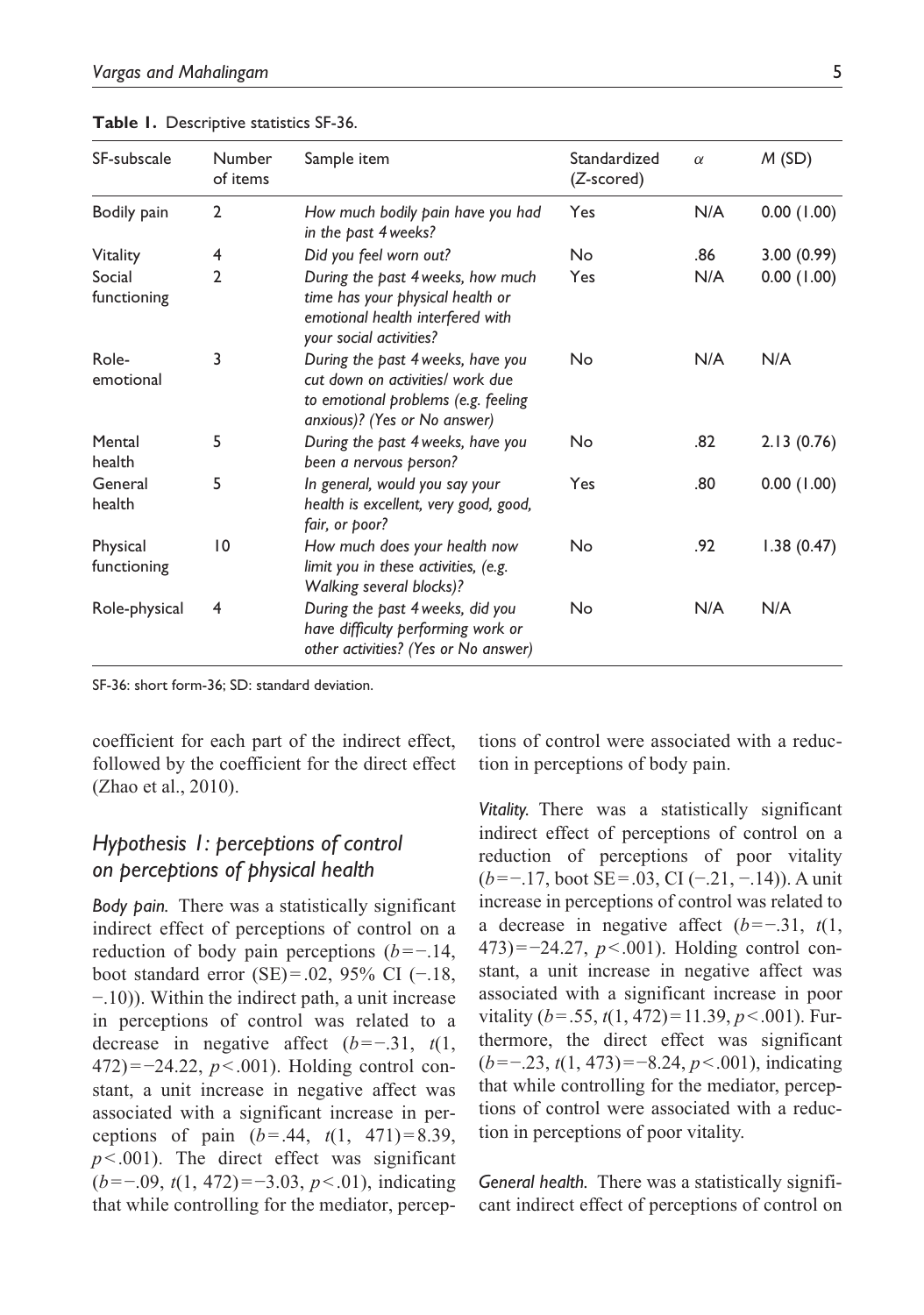| SF-subscale             | Number<br>of items | Sample item                                                                                                                                  | Standardized<br>(Z-scored) | $\alpha$ | M(SD)      |
|-------------------------|--------------------|----------------------------------------------------------------------------------------------------------------------------------------------|----------------------------|----------|------------|
| Bodily pain             | $\overline{2}$     | How much bodily pain have you had<br>in the past 4 weeks?                                                                                    | Yes                        | N/A      | 0.00(1.00) |
| Vitality                | 4                  | Did you feel worn out?                                                                                                                       | <b>No</b>                  | .86      | 3.00(0.99) |
| Social<br>functioning   | 2                  | During the past 4 weeks, how much<br>time has your physical health or<br>emotional health interfered with<br>your social activities?         | Yes                        | N/A      | 0.00(1.00) |
| Role-<br>emotional      | 3                  | During the past 4 weeks, have you<br>cut down on activities/ work due<br>to emotional problems (e.g. feeling<br>anxious)? (Yes or No answer) | No                         | N/A      | N/A        |
| Mental<br>health        | 5                  | During the past 4 weeks, have you<br>been a nervous person?                                                                                  | No                         | .82      | 2.13(0.76) |
| General<br>health       | 5                  | In general, would you say your<br>health is excellent, very good, good,<br>fair, or poor?                                                    | Yes                        | .80      | 0.00(1.00) |
| Physical<br>functioning | $\overline{10}$    | How much does your health now<br>limit you in these activities, (e.g.<br>Walking several blocks)?                                            | No                         | .92      | 1.38(0.47) |
| Role-physical           | 4                  | During the past 4 weeks, did you<br>have difficulty performing work or<br>other activities? (Yes or No answer)                               | No                         | N/A      | N/A        |

**Table 1.** Descriptive statistics SF-36.

SF-36: short form-36; SD: standard deviation.

coefficient for each part of the indirect effect, followed by the coefficient for the direct effect (Zhao et al., 2010).

## *Hypothesis 1: perceptions of control on perceptions of physical health*

*Body pain.* There was a statistically significant indirect effect of perceptions of control on a reduction of body pain perceptions (*b*=−.14, boot standard error (SE)=.02, 95% CI (−.18, −.10)). Within the indirect path, a unit increase in perceptions of control was related to a decrease in negative affect (*b*=−.31, *t*(1, 472)=−24.22, *p*<.001). Holding control constant, a unit increase in negative affect was associated with a significant increase in perceptions of pain (*b*=.44, *t*(1, 471)=8.39, *p*<.001). The direct effect was significant (*b*=−.09, *t*(1, 472)=−3.03, *p*<.01), indicating that while controlling for the mediator, perceptions of control were associated with a reduction in perceptions of body pain.

*Vitality.* There was a statistically significant indirect effect of perceptions of control on a reduction of perceptions of poor vitality (*b*=−.17, boot SE=.03, CI (−.21, −.14)). A unit increase in perceptions of control was related to a decrease in negative affect (*b*=−.31, *t*(1, 473)=−24.27, *p*<.001). Holding control constant, a unit increase in negative affect was associated with a significant increase in poor vitality (*b*=.55, *t*(1, 472)=11.39, *p*<.001). Furthermore, the direct effect was significant (*b*=−.23, *t*(1, 473)=−8.24, *p*<.001), indicating that while controlling for the mediator, perceptions of control were associated with a reduction in perceptions of poor vitality.

*General health.* There was a statistically significant indirect effect of perceptions of control on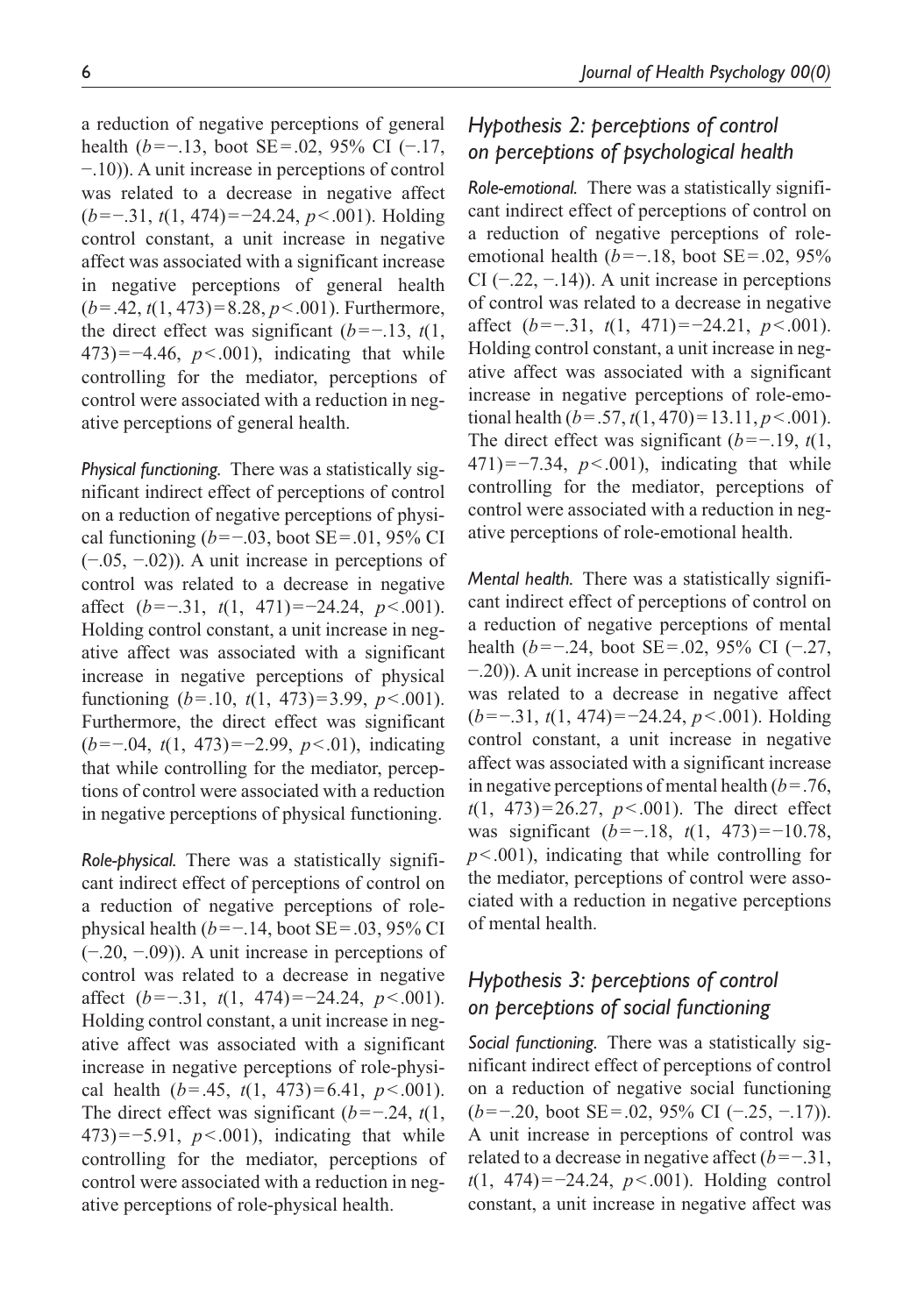a reduction of negative perceptions of general health (*b*=−.13, boot SE=.02, 95% CI (−.17, −.10)). A unit increase in perceptions of control was related to a decrease in negative affect (*b*=−.31, *t*(1, 474)=−24.24, *p*<.001). Holding control constant, a unit increase in negative affect was associated with a significant increase in negative perceptions of general health (*b*=.42, *t*(1, 473)=8.28, *p*<.001). Furthermore, the direct effect was significant (*b*=−.13, *t*(1, 473)=−4.46, *p*<.001), indicating that while controlling for the mediator, perceptions of control were associated with a reduction in negative perceptions of general health.

*Physical functioning.* There was a statistically significant indirect effect of perceptions of control on a reduction of negative perceptions of physical functioning (*b*=−.03, boot SE=.01, 95% CI (−.05, −.02)). A unit increase in perceptions of control was related to a decrease in negative affect (*b*=−.31, *t*(1, 471)=−24.24, *p*<.001). Holding control constant, a unit increase in negative affect was associated with a significant increase in negative perceptions of physical functioning (*b*=.10, *t*(1, 473)=3.99, *p*<.001). Furthermore, the direct effect was significant (*b*=−.04, *t*(1, 473)=−2.99, *p*<.01), indicating that while controlling for the mediator, perceptions of control were associated with a reduction in negative perceptions of physical functioning.

*Role-physical.* There was a statistically significant indirect effect of perceptions of control on a reduction of negative perceptions of rolephysical health (*b*=−.14, boot SE=.03, 95% CI (−.20, −.09)). A unit increase in perceptions of control was related to a decrease in negative affect (*b*=−.31, *t*(1, 474)=−24.24, *p*<.001). Holding control constant, a unit increase in negative affect was associated with a significant increase in negative perceptions of role-physical health  $(b=.45, t(1, 473)=6.41, p<.001$ ). The direct effect was significant (*b*=−.24, *t*(1, 473)=−5.91, *p*<.001), indicating that while controlling for the mediator, perceptions of control were associated with a reduction in negative perceptions of role-physical health.

# *Hypothesis 2: perceptions of control on perceptions of psychological health*

*Role-emotional.* There was a statistically significant indirect effect of perceptions of control on a reduction of negative perceptions of roleemotional health (*b*=−.18, boot SE=.02, 95% CI ( $-0.22, -0.14$ ). A unit increase in perceptions of control was related to a decrease in negative affect (*b*=−.31, *t*(1, 471)=−24.21, *p*<.001). Holding control constant, a unit increase in negative affect was associated with a significant increase in negative perceptions of role-emotional health  $(b=.57, t(1, 470)=13.11, p<.001$ ). The direct effect was significant (*b*=−.19, *t*(1, 471)=−7.34, *p*<.001), indicating that while controlling for the mediator, perceptions of control were associated with a reduction in negative perceptions of role-emotional health.

*Mental health.* There was a statistically significant indirect effect of perceptions of control on a reduction of negative perceptions of mental health (*b*=−.24, boot SE=.02, 95% CI (−.27, −.20)). A unit increase in perceptions of control was related to a decrease in negative affect (*b*=−.31, *t*(1, 474)=−24.24, *p*<.001). Holding control constant, a unit increase in negative affect was associated with a significant increase in negative perceptions of mental health  $(b=.76, ...)$ *t*(1, 473)=26.27, *p*<.001). The direct effect was significant (*b*=−.18, *t*(1, 473)=−10.78, *p*<.001), indicating that while controlling for the mediator, perceptions of control were associated with a reduction in negative perceptions of mental health.

# *Hypothesis 3: perceptions of control on perceptions of social functioning*

*Social functioning.* There was a statistically significant indirect effect of perceptions of control on a reduction of negative social functioning (*b*=−.20, boot SE=.02, 95% CI (−.25, −.17)). A unit increase in perceptions of control was related to a decrease in negative affect (*b*=−.31, *t*(1, 474)=−24.24, *p*<.001). Holding control constant, a unit increase in negative affect was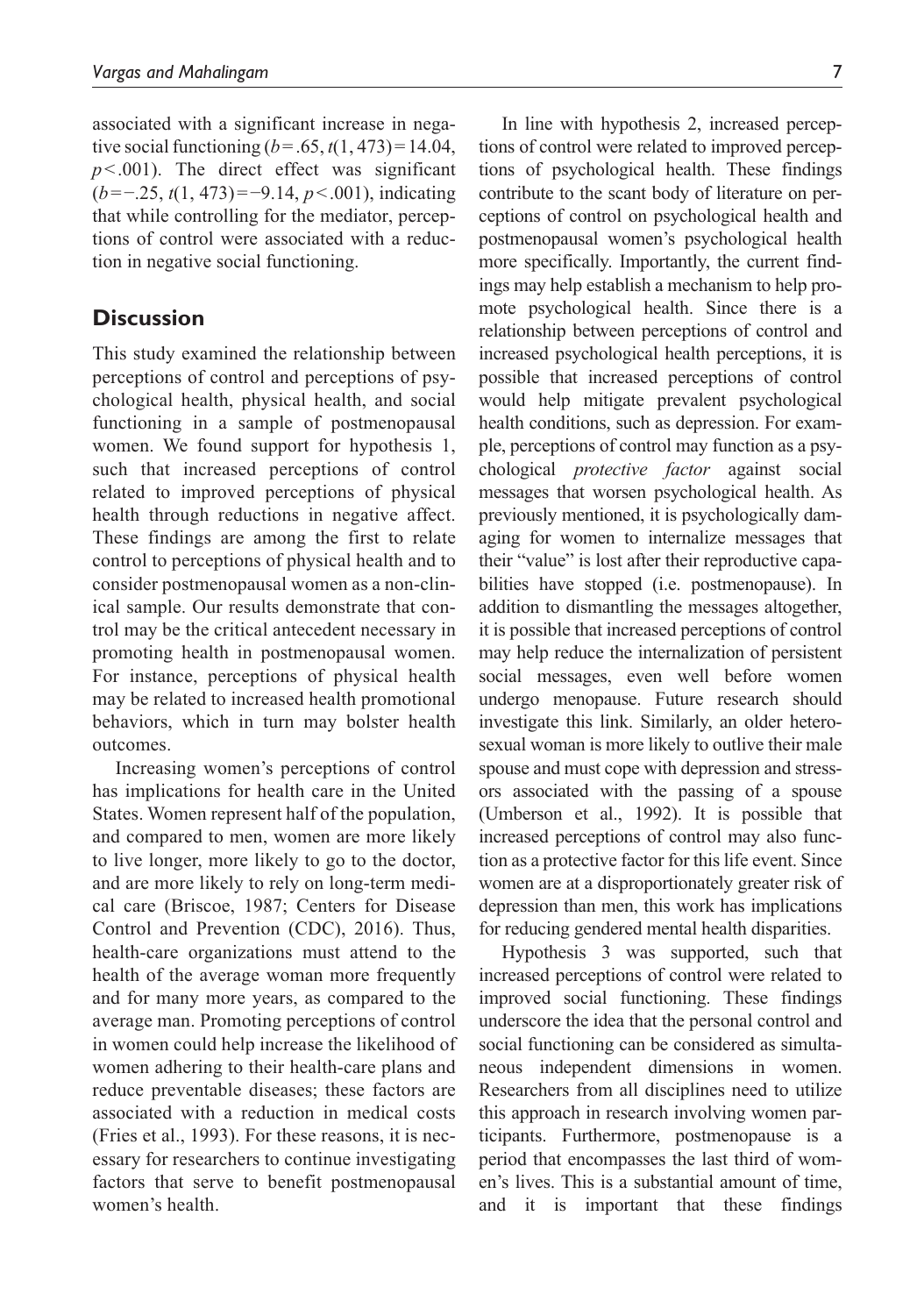associated with a significant increase in negative social functioning  $(b = .65, t(1, 473) = 14.04$ ,  $p$ <.001). The direct effect was significant (*b*=−.25, *t*(1, 473)=−9.14, *p*<.001), indicating that while controlling for the mediator, perceptions of control were associated with a reduction in negative social functioning.

## **Discussion**

This study examined the relationship between perceptions of control and perceptions of psychological health, physical health, and social functioning in a sample of postmenopausal women. We found support for hypothesis 1, such that increased perceptions of control related to improved perceptions of physical health through reductions in negative affect. These findings are among the first to relate control to perceptions of physical health and to consider postmenopausal women as a non-clinical sample. Our results demonstrate that control may be the critical antecedent necessary in promoting health in postmenopausal women. For instance, perceptions of physical health may be related to increased health promotional behaviors, which in turn may bolster health outcomes.

Increasing women's perceptions of control has implications for health care in the United States. Women represent half of the population, and compared to men, women are more likely to live longer, more likely to go to the doctor, and are more likely to rely on long-term medical care (Briscoe, 1987; Centers for Disease Control and Prevention (CDC), 2016). Thus, health-care organizations must attend to the health of the average woman more frequently and for many more years, as compared to the average man. Promoting perceptions of control in women could help increase the likelihood of women adhering to their health-care plans and reduce preventable diseases; these factors are associated with a reduction in medical costs (Fries et al., 1993). For these reasons, it is necessary for researchers to continue investigating factors that serve to benefit postmenopausal women's health.

In line with hypothesis 2, increased perceptions of control were related to improved perceptions of psychological health. These findings contribute to the scant body of literature on perceptions of control on psychological health and postmenopausal women's psychological health more specifically. Importantly, the current findings may help establish a mechanism to help promote psychological health. Since there is a relationship between perceptions of control and increased psychological health perceptions, it is possible that increased perceptions of control would help mitigate prevalent psychological health conditions, such as depression. For example, perceptions of control may function as a psychological *protective factor* against social messages that worsen psychological health. As previously mentioned, it is psychologically damaging for women to internalize messages that their "value" is lost after their reproductive capabilities have stopped (i.e. postmenopause). In addition to dismantling the messages altogether, it is possible that increased perceptions of control may help reduce the internalization of persistent social messages, even well before women undergo menopause. Future research should investigate this link. Similarly, an older heterosexual woman is more likely to outlive their male spouse and must cope with depression and stressors associated with the passing of a spouse (Umberson et al., 1992). It is possible that increased perceptions of control may also function as a protective factor for this life event. Since women are at a disproportionately greater risk of depression than men, this work has implications for reducing gendered mental health disparities.

Hypothesis 3 was supported, such that increased perceptions of control were related to improved social functioning. These findings underscore the idea that the personal control and social functioning can be considered as simultaneous independent dimensions in women. Researchers from all disciplines need to utilize this approach in research involving women participants. Furthermore, postmenopause is a period that encompasses the last third of women's lives. This is a substantial amount of time, and it is important that these findings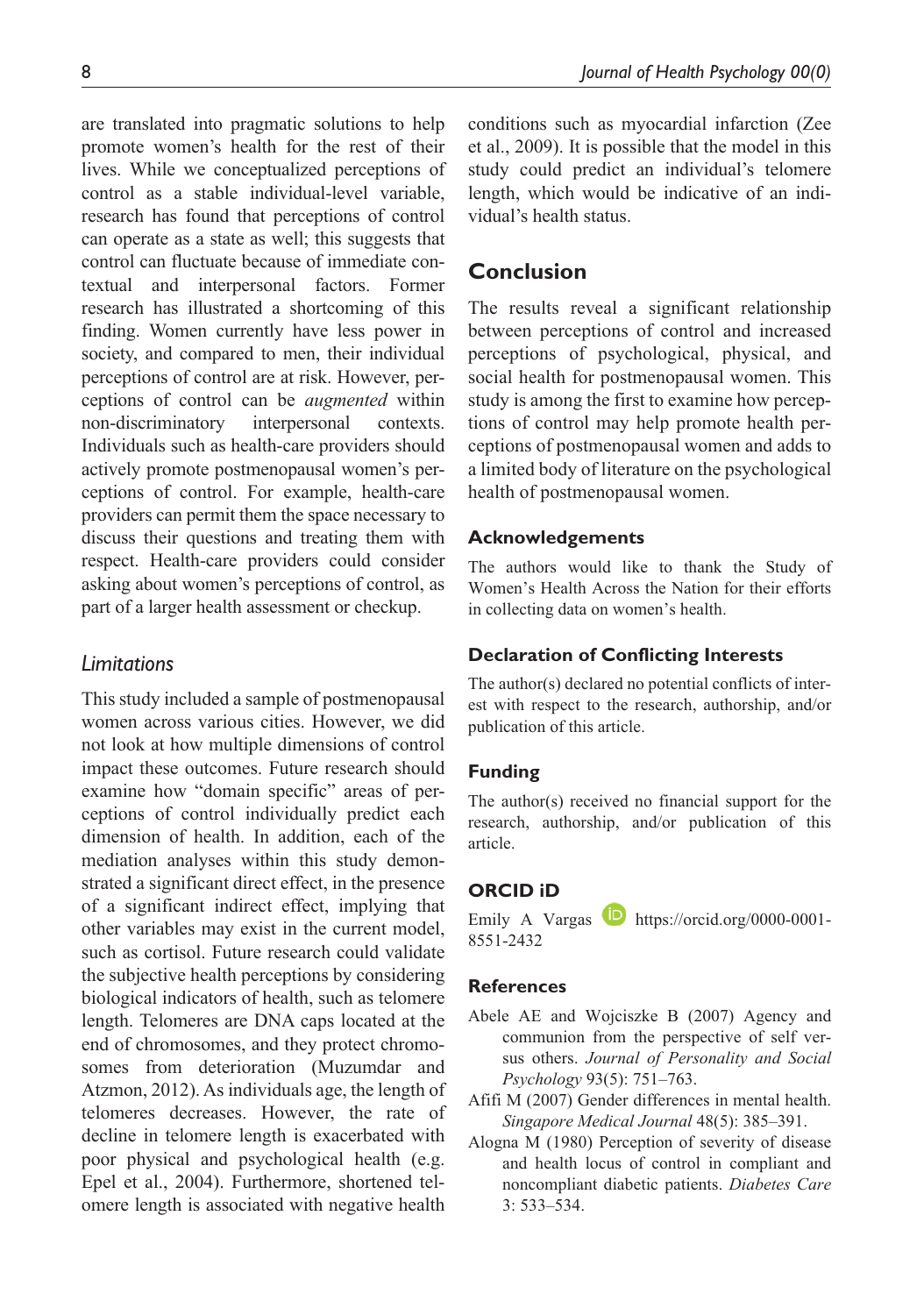are translated into pragmatic solutions to help promote women's health for the rest of their lives. While we conceptualized perceptions of control as a stable individual-level variable, research has found that perceptions of control can operate as a state as well; this suggests that control can fluctuate because of immediate contextual and interpersonal factors. Former research has illustrated a shortcoming of this finding. Women currently have less power in society, and compared to men, their individual perceptions of control are at risk. However, perceptions of control can be *augmented* within non-discriminatory interpersonal contexts. Individuals such as health-care providers should actively promote postmenopausal women's perceptions of control. For example, health-care providers can permit them the space necessary to discuss their questions and treating them with respect. Health-care providers could consider asking about women's perceptions of control, as part of a larger health assessment or checkup.

## *Limitations*

This study included a sample of postmenopausal women across various cities. However, we did not look at how multiple dimensions of control impact these outcomes. Future research should examine how "domain specific" areas of perceptions of control individually predict each dimension of health. In addition, each of the mediation analyses within this study demonstrated a significant direct effect, in the presence of a significant indirect effect, implying that other variables may exist in the current model, such as cortisol. Future research could validate the subjective health perceptions by considering biological indicators of health, such as telomere length. Telomeres are DNA caps located at the end of chromosomes, and they protect chromosomes from deterioration (Muzumdar and Atzmon, 2012). As individuals age, the length of telomeres decreases. However, the rate of decline in telomere length is exacerbated with poor physical and psychological health (e.g. Epel et al., 2004). Furthermore, shortened telomere length is associated with negative health

conditions such as myocardial infarction (Zee et al., 2009). It is possible that the model in this study could predict an individual's telomere length, which would be indicative of an individual's health status.

## **Conclusion**

The results reveal a significant relationship between perceptions of control and increased perceptions of psychological, physical, and social health for postmenopausal women. This study is among the first to examine how perceptions of control may help promote health perceptions of postmenopausal women and adds to a limited body of literature on the psychological health of postmenopausal women.

#### **Acknowledgements**

The authors would like to thank the Study of Women's Health Across the Nation for their efforts in collecting data on women's health.

#### **Declaration of Conflicting Interests**

The author(s) declared no potential conflicts of interest with respect to the research, authorship, and/or publication of this article.

#### **Funding**

The author(s) received no financial support for the research, authorship, and/or publication of this article.

## **ORCID iD**

Emily A Vargas **D** [https://orcid.org/0000-0001-](https://orcid.org/0000-0001-8551-2432) [8551-2432](https://orcid.org/0000-0001-8551-2432)

## **References**

- Abele AE and Wojciszke B (2007) Agency and communion from the perspective of self versus others. *Journal of Personality and Social Psychology* 93(5): 751–763.
- Afifi M (2007) Gender differences in mental health. *Singapore Medical Journal* 48(5): 385–391.
- Alogna M (1980) Perception of severity of disease and health locus of control in compliant and noncompliant diabetic patients. *Diabetes Care* 3: 533–534.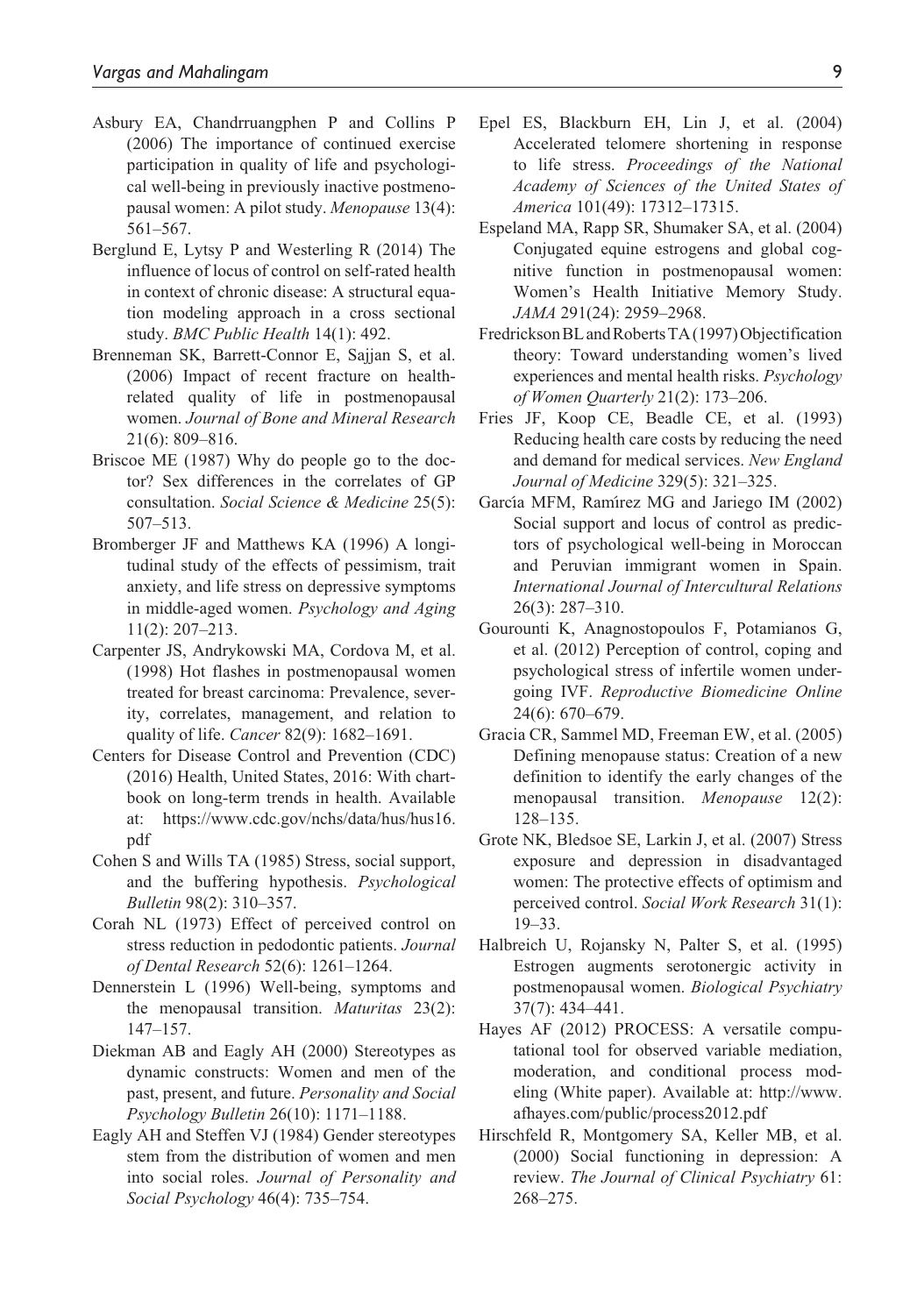- Asbury EA, Chandrruangphen P and Collins P (2006) The importance of continued exercise participation in quality of life and psychological well-being in previously inactive postmenopausal women: A pilot study. *Menopause* 13(4): 561–567.
- Berglund E, Lytsy P and Westerling R (2014) The influence of locus of control on self-rated health in context of chronic disease: A structural equation modeling approach in a cross sectional study. *BMC Public Health* 14(1): 492.
- Brenneman SK, Barrett-Connor E, Sajjan S, et al. (2006) Impact of recent fracture on healthrelated quality of life in postmenopausal women. *Journal of Bone and Mineral Research* 21(6): 809–816.
- Briscoe ME (1987) Why do people go to the doctor? Sex differences in the correlates of GP consultation. *Social Science & Medicine* 25(5): 507–513.
- Bromberger JF and Matthews KA (1996) A longitudinal study of the effects of pessimism, trait anxiety, and life stress on depressive symptoms in middle-aged women. *Psychology and Aging* 11(2): 207–213.
- Carpenter JS, Andrykowski MA, Cordova M, et al. (1998) Hot flashes in postmenopausal women treated for breast carcinoma: Prevalence, severity, correlates, management, and relation to quality of life. *Cancer* 82(9): 1682–1691.
- Centers for Disease Control and Prevention (CDC) (2016) Health, United States, 2016: With chartbook on long-term trends in health. Available at: [https://www.cdc.gov/nchs/data/hus/hus16.](https://www.cdc.gov/nchs/data/hus/hus16.pdf#015) [pdf](https://www.cdc.gov/nchs/data/hus/hus16.pdf#015)
- Cohen S and Wills TA (1985) Stress, social support, and the buffering hypothesis. *Psychological Bulletin* 98(2): 310–357.
- Corah NL (1973) Effect of perceived control on stress reduction in pedodontic patients. *Journal of Dental Research* 52(6): 1261–1264.
- Dennerstein L (1996) Well-being, symptoms and the menopausal transition. *Maturitas* 23(2): 147–157.
- Diekman AB and Eagly AH (2000) Stereotypes as dynamic constructs: Women and men of the past, present, and future. *Personality and Social Psychology Bulletin* 26(10): 1171–1188.
- Eagly AH and Steffen VJ (1984) Gender stereotypes stem from the distribution of women and men into social roles. *Journal of Personality and Social Psychology* 46(4): 735–754.
- Epel ES, Blackburn EH, Lin J, et al. (2004) Accelerated telomere shortening in response to life stress. *Proceedings of the National Academy of Sciences of the United States of America* 101(49): 17312–17315.
- Espeland MA, Rapp SR, Shumaker SA, et al. (2004) Conjugated equine estrogens and global cognitive function in postmenopausal women: Women's Health Initiative Memory Study. *JAMA* 291(24): 2959–2968.
- Fredrickson BL and Roberts TA (1997) Objectification theory: Toward understanding women's lived experiences and mental health risks. *Psychology of Women Quarterly* 21(2): 173–206.
- Fries JF, Koop CE, Beadle CE, et al. (1993) Reducing health care costs by reducing the need and demand for medical services. *New England Journal of Medicine* 329(5): 321–325.
- García MFM, Ramírez MG and Jariego IM (2002) Social support and locus of control as predictors of psychological well-being in Moroccan and Peruvian immigrant women in Spain. *International Journal of Intercultural Relations* 26(3): 287–310.
- Gourounti K, Anagnostopoulos F, Potamianos G, et al. (2012) Perception of control, coping and psychological stress of infertile women undergoing IVF. *Reproductive Biomedicine Online* 24(6): 670–679.
- Gracia CR, Sammel MD, Freeman EW, et al. (2005) Defining menopause status: Creation of a new definition to identify the early changes of the menopausal transition. *Menopause* 12(2): 128–135.
- Grote NK, Bledsoe SE, Larkin J, et al. (2007) Stress exposure and depression in disadvantaged women: The protective effects of optimism and perceived control. *Social Work Research* 31(1): 19–33.
- Halbreich U, Rojansky N, Palter S, et al. (1995) Estrogen augments serotonergic activity in postmenopausal women. *Biological Psychiatry* 37(7): 434–441.
- Hayes AF (2012) PROCESS: A versatile computational tool for observed variable mediation, moderation, and conditional process modeling (White paper). Available at: [http://www.](http://www.afhayes.com/public/process2012.pdf) [afhayes.com/public/process2012.pdf](http://www.afhayes.com/public/process2012.pdf)
- Hirschfeld R, Montgomery SA, Keller MB, et al. (2000) Social functioning in depression: A review. *The Journal of Clinical Psychiatry* 61: 268–275.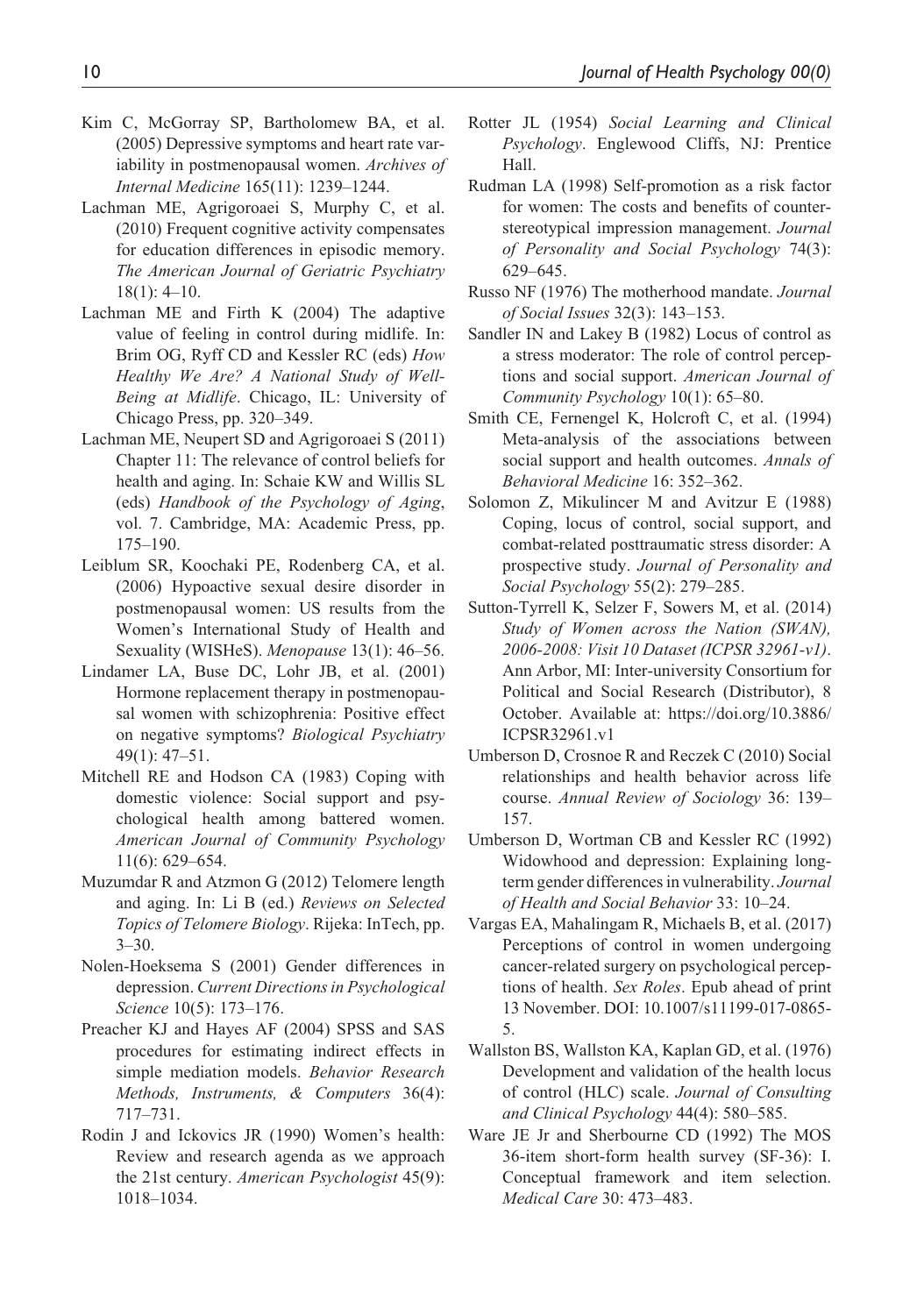- Kim C, McGorray SP, Bartholomew BA, et al. (2005) Depressive symptoms and heart rate variability in postmenopausal women. *Archives of Internal Medicine* 165(11): 1239–1244.
- Lachman ME, Agrigoroaei S, Murphy C, et al. (2010) Frequent cognitive activity compensates for education differences in episodic memory. *The American Journal of Geriatric Psychiatry* 18(1): 4–10.
- Lachman ME and Firth K (2004) The adaptive value of feeling in control during midlife. In: Brim OG, Ryff CD and Kessler RC (eds) *How Healthy We Are? A National Study of Well-Being at Midlife*. Chicago, IL: University of Chicago Press, pp. 320–349.
- Lachman ME, Neupert SD and Agrigoroaei S (2011) Chapter 11: The relevance of control beliefs for health and aging. In: Schaie KW and Willis SL (eds) *Handbook of the Psychology of Aging*, vol. 7. Cambridge, MA: Academic Press, pp. 175–190.
- Leiblum SR, Koochaki PE, Rodenberg CA, et al. (2006) Hypoactive sexual desire disorder in postmenopausal women: US results from the Women's International Study of Health and Sexuality (WISHeS). *Menopause* 13(1): 46–56.
- Lindamer LA, Buse DC, Lohr JB, et al. (2001) Hormone replacement therapy in postmenopausal women with schizophrenia: Positive effect on negative symptoms? *Biological Psychiatry* 49(1): 47–51.
- Mitchell RE and Hodson CA (1983) Coping with domestic violence: Social support and psychological health among battered women. *American Journal of Community Psychology* 11(6): 629–654.
- Muzumdar R and Atzmon G (2012) Telomere length and aging. In: Li B (ed.) *Reviews on Selected Topics of Telomere Biology*. Rijeka: InTech, pp.  $3 - 30.$
- Nolen-Hoeksema S (2001) Gender differences in depression. *Current Directions in Psychological Science* 10(5): 173–176.
- Preacher KJ and Hayes AF (2004) SPSS and SAS procedures for estimating indirect effects in simple mediation models. *Behavior Research Methods, Instruments, & Computers* 36(4): 717–731.
- Rodin J and Ickovics JR (1990) Women's health: Review and research agenda as we approach the 21st century. *American Psychologist* 45(9): 1018–1034.
- Rotter JL (1954) *Social Learning and Clinical Psychology*. Englewood Cliffs, NJ: Prentice Hall.
- Rudman LA (1998) Self-promotion as a risk factor for women: The costs and benefits of counterstereotypical impression management. *Journal of Personality and Social Psychology* 74(3): 629–645.
- Russo NF (1976) The motherhood mandate. *Journal of Social Issues* 32(3): 143–153.
- Sandler IN and Lakey B (1982) Locus of control as a stress moderator: The role of control perceptions and social support. *American Journal of Community Psychology* 10(1): 65–80.
- Smith CE, Fernengel K, Holcroft C, et al. (1994) Meta-analysis of the associations between social support and health outcomes. *Annals of Behavioral Medicine* 16: 352–362.
- Solomon Z, Mikulincer M and Avitzur E (1988) Coping, locus of control, social support, and combat-related posttraumatic stress disorder: A prospective study. *Journal of Personality and Social Psychology* 55(2): 279–285.
- Sutton-Tyrrell K, Selzer F, Sowers M, et al. (2014) *Study of Women across the Nation (SWAN), 2006-2008: Visit 10 Dataset (ICPSR 32961-v1)*. Ann Arbor, MI: Inter-university Consortium for Political and Social Research (Distributor), 8 October. Available at: [https://doi.org/10.3886/](https://doi.org/10.3886/ICPSR32961.v1) [ICPSR32961.v1](https://doi.org/10.3886/ICPSR32961.v1)
- Umberson D, Crosnoe R and Reczek C (2010) Social relationships and health behavior across life course. *Annual Review of Sociology* 36: 139– 157.
- Umberson D, Wortman CB and Kessler RC (1992) Widowhood and depression: Explaining longterm gender differences in vulnerability. *Journal of Health and Social Behavior* 33: 10–24.
- Vargas EA, Mahalingam R, Michaels B, et al. (2017) Perceptions of control in women undergoing cancer-related surgery on psychological perceptions of health. *Sex Roles*. Epub ahead of print 13 November. DOI: 10.1007/s11199-017-0865- 5.
- Wallston BS, Wallston KA, Kaplan GD, et al. (1976) Development and validation of the health locus of control (HLC) scale. *Journal of Consulting and Clinical Psychology* 44(4): 580–585.
- Ware JE Jr and Sherbourne CD (1992) The MOS 36-item short-form health survey (SF-36): I. Conceptual framework and item selection. *Medical Care* 30: 473–483.